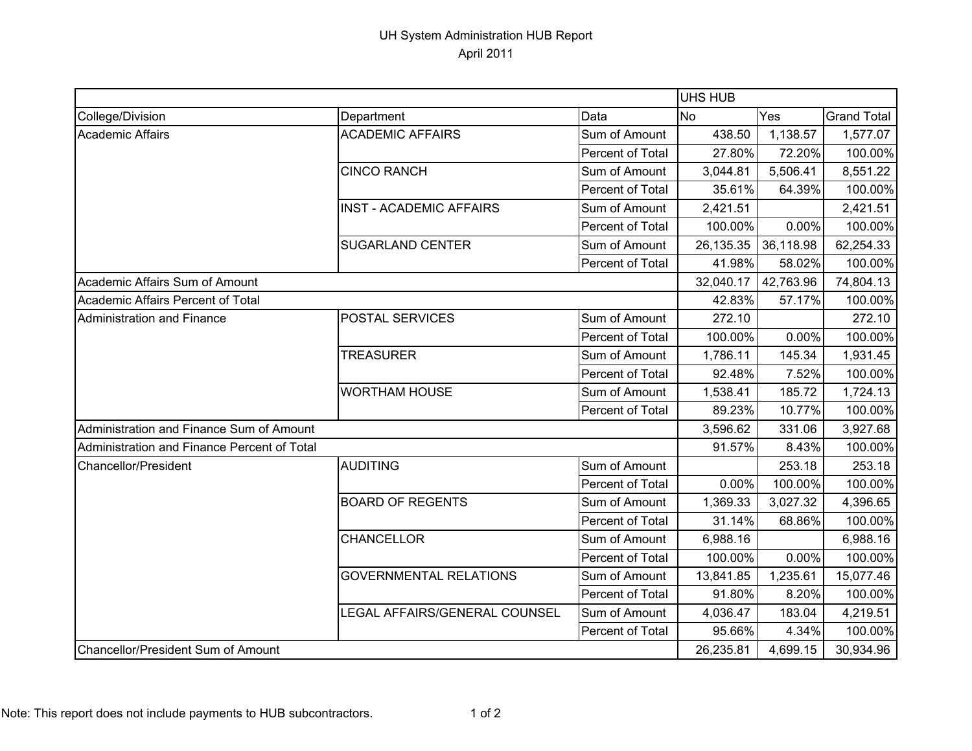## UH System Administration HUB Report April 2011

|                                             |                                |                  | <b>UHS HUB</b> |           |                    |  |
|---------------------------------------------|--------------------------------|------------------|----------------|-----------|--------------------|--|
| College/Division                            | Department                     | Data             | No             | Yes       | <b>Grand Total</b> |  |
| <b>Academic Affairs</b>                     | <b>ACADEMIC AFFAIRS</b>        | Sum of Amount    | 438.50         | 1,138.57  | 1,577.07           |  |
|                                             |                                | Percent of Total | 27.80%         | 72.20%    | 100.00%            |  |
|                                             | <b>CINCO RANCH</b>             | Sum of Amount    | 3,044.81       | 5,506.41  | 8,551.22           |  |
|                                             |                                | Percent of Total | 35.61%         | 64.39%    | 100.00%            |  |
|                                             | <b>INST - ACADEMIC AFFAIRS</b> | Sum of Amount    | 2,421.51       |           | 2,421.51           |  |
|                                             |                                | Percent of Total | 100.00%        | 0.00%     | 100.00%            |  |
|                                             | <b>SUGARLAND CENTER</b>        | Sum of Amount    | 26,135.35      | 36,118.98 | 62,254.33          |  |
|                                             |                                | Percent of Total | 41.98%         | 58.02%    | 100.00%            |  |
| Academic Affairs Sum of Amount              |                                |                  | 32,040.17      | 42,763.96 | 74,804.13          |  |
| Academic Affairs Percent of Total           |                                |                  | 42.83%         | 57.17%    | 100.00%            |  |
| <b>Administration and Finance</b>           | <b>POSTAL SERVICES</b>         | Sum of Amount    | 272.10         |           | 272.10             |  |
|                                             |                                | Percent of Total | 100.00%        | 0.00%     | 100.00%            |  |
|                                             | <b>TREASURER</b>               | Sum of Amount    | 1,786.11       | 145.34    | 1,931.45           |  |
|                                             |                                | Percent of Total | 92.48%         | 7.52%     | 100.00%            |  |
|                                             | <b>WORTHAM HOUSE</b>           | Sum of Amount    | 1,538.41       | 185.72    | 1,724.13           |  |
|                                             |                                | Percent of Total | 89.23%         | 10.77%    | 100.00%            |  |
| Administration and Finance Sum of Amount    |                                |                  | 3,596.62       | 331.06    | 3,927.68           |  |
| Administration and Finance Percent of Total |                                |                  | 91.57%         | 8.43%     | 100.00%            |  |
| Chancellor/President                        | AUDITING                       | Sum of Amount    |                | 253.18    | 253.18             |  |
|                                             |                                | Percent of Total | 0.00%          | 100.00%   | 100.00%            |  |
|                                             | <b>BOARD OF REGENTS</b>        | Sum of Amount    | 1,369.33       | 3,027.32  | 4,396.65           |  |
|                                             |                                | Percent of Total | 31.14%         | 68.86%    | 100.00%            |  |
|                                             | <b>CHANCELLOR</b>              | Sum of Amount    | 6,988.16       |           | 6,988.16           |  |
|                                             |                                | Percent of Total | 100.00%        | 0.00%     | 100.00%            |  |
|                                             | <b>GOVERNMENTAL RELATIONS</b>  | Sum of Amount    | 13,841.85      | 1,235.61  | 15,077.46          |  |
|                                             |                                | Percent of Total | 91.80%         | 8.20%     | 100.00%            |  |
|                                             | LEGAL AFFAIRS/GENERAL COUNSEL  | Sum of Amount    | 4,036.47       | 183.04    | 4,219.51           |  |
|                                             |                                | Percent of Total | 95.66%         | 4.34%     | 100.00%            |  |
| Chancellor/President Sum of Amount          |                                |                  | 26,235.81      | 4,699.15  | 30,934.96          |  |